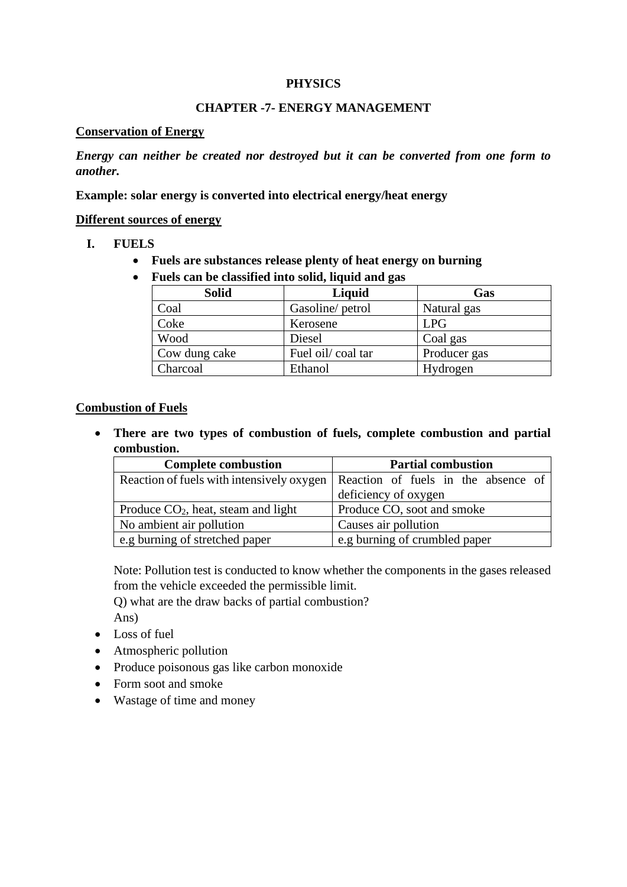#### **PHYSICS**

## **CHAPTER -7- ENERGY MANAGEMENT**

#### **Conservation of Energy**

*Energy can neither be created nor destroyed but it can be converted from one form to another.*

**Example: solar energy is converted into electrical energy/heat energy**

#### **Different sources of energy**

#### **I. FUELS**

- **Fuels are substances release plenty of heat energy on burning**
- **Fuels can be classified into solid, liquid and gas**

| <b>Solid</b>  | Liquid            | Gas          |
|---------------|-------------------|--------------|
| Coal          | Gasoline/ petrol  | Natural gas  |
| Coke          | Kerosene          | <b>LPG</b>   |
| Wood          | Diesel            | Coal gas     |
| Cow dung cake | Fuel oil/coal tar | Producer gas |
| Charcoal      | Ethanol           | Hydrogen     |

#### **Combustion of Fuels**

• **There are two types of combustion of fuels, complete combustion and partial combustion.**

| <b>Complete combustion</b>            | <b>Partial combustion</b>                                                       |
|---------------------------------------|---------------------------------------------------------------------------------|
|                                       | Reaction of fuels with intensively oxygen   Reaction of fuels in the absence of |
|                                       | deficiency of oxygen                                                            |
| Produce $CO2$ , heat, steam and light | Produce CO, soot and smoke                                                      |
| No ambient air pollution              | Causes air pollution                                                            |
| e.g burning of stretched paper        | e.g burning of crumbled paper                                                   |

Note: Pollution test is conducted to know whether the components in the gases released from the vehicle exceeded the permissible limit.

Q) what are the draw backs of partial combustion?

Ans)

- Loss of fuel
- Atmospheric pollution
- Produce poisonous gas like carbon monoxide
- Form soot and smoke
- Wastage of time and money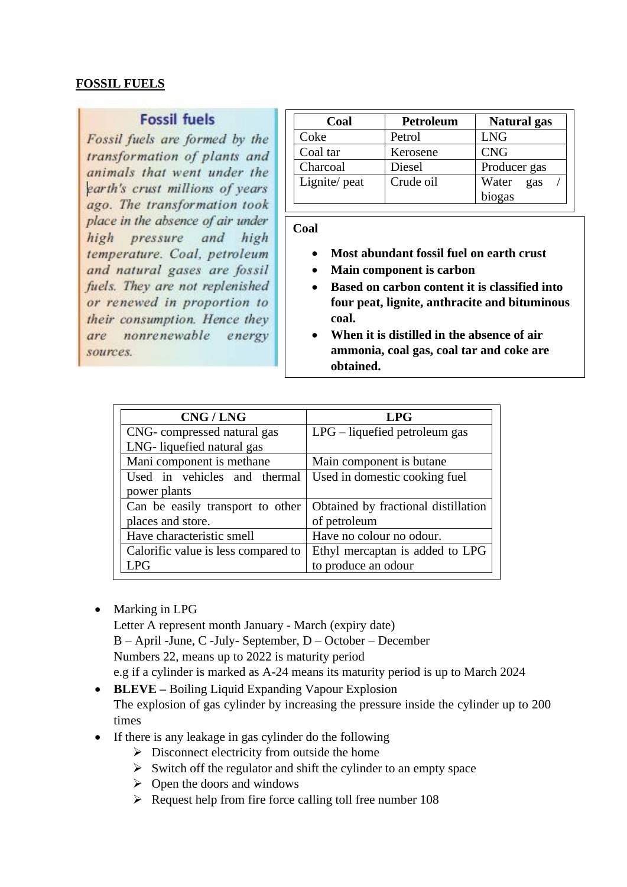#### **FOSSIL FUELS**

## **Fossil fuels**

Fossil fuels are formed by the transformation of plants and animals that went under the earth's crust millions of years ago. The transformation took place in the absence of air under high pressure and high temperature. Coal. petroleum and natural gases are fossil fuels. They are not replenished or renewed in proportion to their consumption. Hence they nonrenewable are energy sources.

| Coal         | Petroleum | <b>Natural</b> gas |
|--------------|-----------|--------------------|
| Coke         | Petrol    | <b>LNG</b>         |
| Coal tar     | Kerosene  | <b>CNG</b>         |
| Charcoal     | Diesel    | Producer gas       |
| Lignite/peat | Crude oil | Water<br>gas       |
|              |           | biogas             |

#### **Coal**

- **Most abundant fossil fuel on earth crust**
- **Main component is carbon**
- **Based on carbon content it is classified into four peat, lignite, anthracite and bituminous coal.**
- **When it is distilled in the absence of air ammonia, coal gas, coal tar and coke are obtained.**

| CNG / LNG                           | <b>LPG</b>                          |
|-------------------------------------|-------------------------------------|
| CNG-compressed natural gas          | $LPG$ – liquefied petroleum gas     |
| LNG-liquefied natural gas           |                                     |
| Mani component is methane           | Main component is butane            |
| Used in vehicles and thermal        | Used in domestic cooking fuel       |
| power plants                        |                                     |
| Can be easily transport to other    | Obtained by fractional distillation |
| places and store.                   | of petroleum                        |
| Have characteristic smell           | Have no colour no odour.            |
| Calorific value is less compared to | Ethyl mercaptan is added to LPG     |
| <b>LPG</b>                          | to produce an odour                 |

• Marking in LPG

Letter A represent month January - March (expiry date) B – April -June, C -July- September, D – October – December Numbers 22, means up to 2022 is maturity period e.g if a cylinder is marked as A-24 means its maturity period is up to March 2024

- **BLEVE –** Boiling Liquid Expanding Vapour Explosion The explosion of gas cylinder by increasing the pressure inside the cylinder up to 200 times
- If there is any leakage in gas cylinder do the following
	- $\triangleright$  Disconnect electricity from outside the home
	- $\triangleright$  Switch off the regulator and shift the cylinder to an empty space
	- $\triangleright$  Open the doors and windows
	- ➢ Request help from fire force calling toll free number 108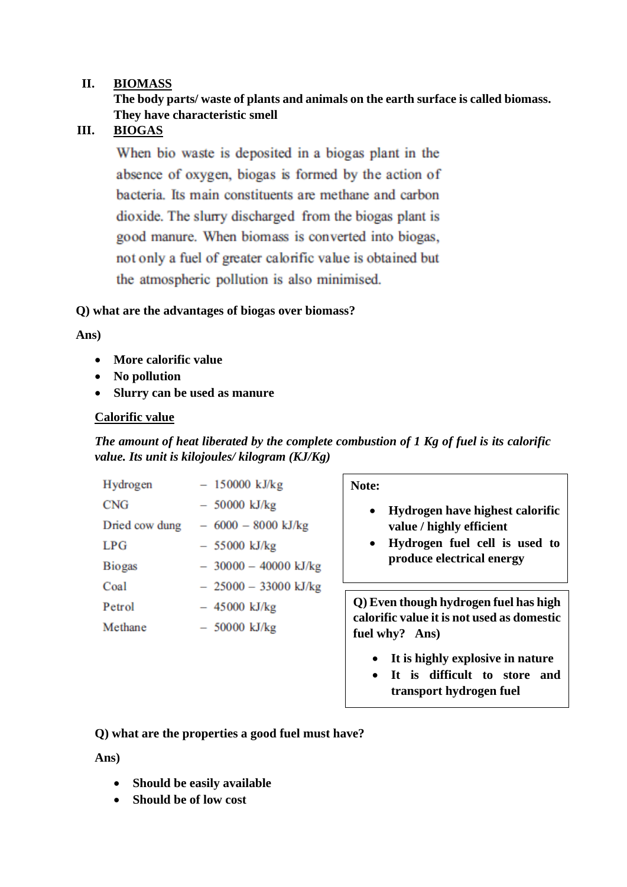#### **II. BIOMASS**

## **The body parts/ waste of plants and animals on the earth surface is called biomass. They have characteristic smell**

## **III. BIOGAS**

When bio waste is deposited in a biogas plant in the absence of oxygen, biogas is formed by the action of bacteria. Its main constituents are methane and carbon dioxide. The slurry discharged from the biogas plant is good manure. When biomass is converted into biogas, not only a fuel of greater calorific value is obtained but the atmospheric pollution is also minimised.

#### **Q) what are the advantages of biogas over biomass?**

#### **Ans)**

- **More calorific value**
- **No pollution**
- **Slurry can be used as manure**

#### **Calorific value**

*The amount of heat liberated by the complete combustion of 1 Kg of fuel is its calorific value. Its unit is kilojoules/ kilogram (KJ/Kg)*

| Hydrogen       | $-150000$ kJ/kg        |
|----------------|------------------------|
| <b>CNG</b>     | $-50000$ kJ/kg         |
| Dried cow dung | $-6000 - 8000$ kJ/kg   |
| LPG            | $-55000$ kJ/kg         |
| <b>Biogas</b>  | $-30000 - 40000$ kJ/kg |
| Coal           | $-25000 - 33000$ kJ/kg |
| Petrol         | $-45000$ kJ/kg         |
| Methane        | $-50000$ kJ/kg         |

**Note:**

- **Hydrogen have highest calorific value / highly efficient**
- **Hydrogen fuel cell is used to produce electrical energy**

**Q) Even though hydrogen fuel has high calorific value it is not used as domestic fuel why? Ans)**

- **It is highly explosive in nature**
- **It is difficult to store and transport hydrogen fuel**

**Q) what are the properties a good fuel must have?**

**Ans)**

- **Should be easily available**
- **Should be of low cost**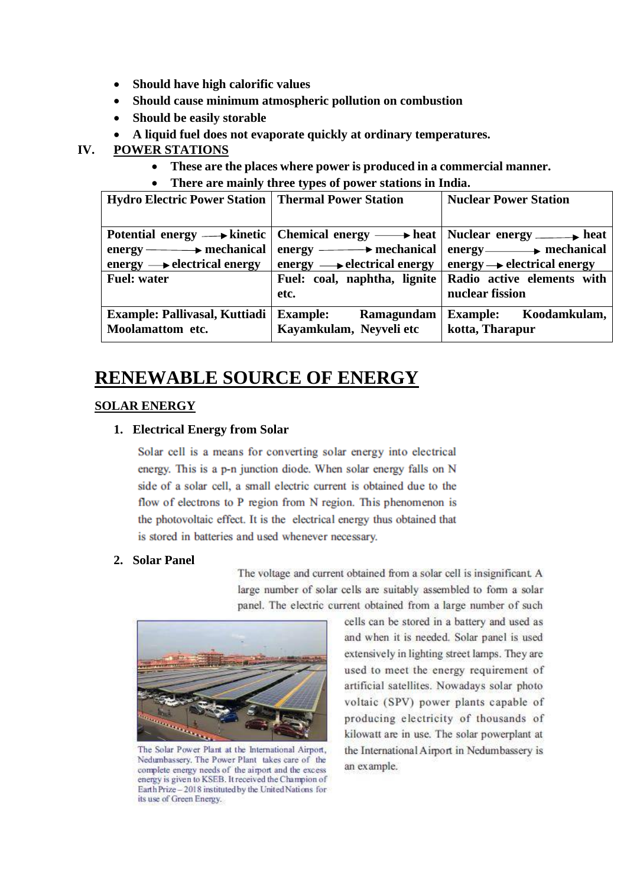- **Should have high calorific values**
- **Should cause minimum atmospheric pollution on combustion**
- **Should be easily storable**
- **A liquid fuel does not evaporate quickly at ordinary temperatures.**

## **IV. POWER STATIONS**

- **These are the places where power is produced in a commercial manner.**
- **There are mainly three types of power stations in India.**

| Hydro Electric Power Station   Thermal Power Station |                                                                                                                             | <b>Nuclear Power Station</b>        |
|------------------------------------------------------|-----------------------------------------------------------------------------------------------------------------------------|-------------------------------------|
|                                                      |                                                                                                                             |                                     |
|                                                      | Potential energy $\longrightarrow$ kinetic   Chemical energy $\longrightarrow$ heat   Nuclear energy $\longrightarrow$ heat |                                     |
| $energy \longrightarrow$ mechanical                  | $energy \longrightarrow$ mechanical                                                                                         | $energy \longrightarrow mechanical$ |
| energy $\longrightarrow$ electrical energy           | energy $\longrightarrow$ electrical energy   energy $\rightarrow$ electrical energy                                         |                                     |
| <b>Fuel: water</b>                                   | Fuel: coal, naphtha, lignite                                                                                                | Radio active elements with          |
|                                                      | etc.                                                                                                                        | nuclear fission                     |
| <b>Example: Pallivasal, Kuttiadi</b>                 | <b>Example:</b> Ramagundam                                                                                                  | Example: Koodamkulam,               |
| Moolamattom etc.                                     | Kayamkulam, Neyveli etc                                                                                                     | kotta, Tharapur                     |

# **RENEWABLE SOURCE OF ENERGY**

## **SOLAR ENERGY**

#### **1. Electrical Energy from Solar**

Solar cell is a means for converting solar energy into electrical energy. This is a p-n junction diode. When solar energy falls on N side of a solar cell, a small electric current is obtained due to the flow of electrons to P region from N region. This phenomenon is the photovoltaic effect. It is the electrical energy thus obtained that is stored in batteries and used whenever necessary.

#### **2. Solar Panel**

The voltage and current obtained from a solar cell is insignificant. A large number of solar cells are suitably assembled to form a solar panel. The electric current obtained from a large number of such



The Solar Power Plant at the International Airport, Nedumbassery. The Power Plant takes care of the complete energy needs of the airport and the excess energy is given to KSEB. It received the Champion of Earth Prize - 2018 instituted by the United Nations for its use of Green Energy.

cells can be stored in a battery and used as and when it is needed. Solar panel is used extensively in lighting street lamps. They are used to meet the energy requirement of artificial satellites. Nowadays solar photo voltaic (SPV) power plants capable of producing electricity of thousands of kilowatt are in use. The solar powerplant at the International Airport in Nedumbassery is an example.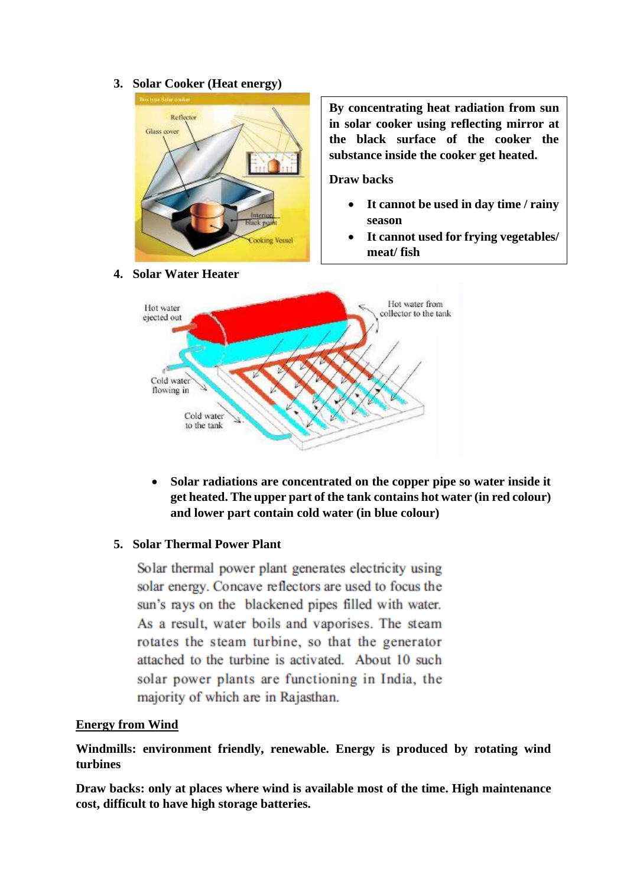**3. Solar Cooker (Heat energy)**



**By concentrating heat radiation from sun in solar cooker using reflecting mirror at the black surface of the cooker the substance inside the cooker get heated.**

**Draw backs**

- **It cannot be used in day time / rainy season**
- **It cannot used for frying vegetables/ meat/ fish**



• **Solar radiations are concentrated on the copper pipe so water inside it get heated. The upper part of the tank contains hot water (in red colour) and lower part contain cold water (in blue colour)**

#### **5. Solar Thermal Power Plant**

Solar thermal power plant generates electricity using solar energy. Concave reflectors are used to focus the sun's rays on the blackened pipes filled with water. As a result, water boils and vaporises. The steam rotates the steam turbine, so that the generator attached to the turbine is activated. About 10 such solar power plants are functioning in India, the majority of which are in Rajasthan.

#### **Energy from Wind**

**Windmills: environment friendly, renewable. Energy is produced by rotating wind turbines** 

**Draw backs: only at places where wind is available most of the time. High maintenance cost, difficult to have high storage batteries.**

**4. Solar Water Heater**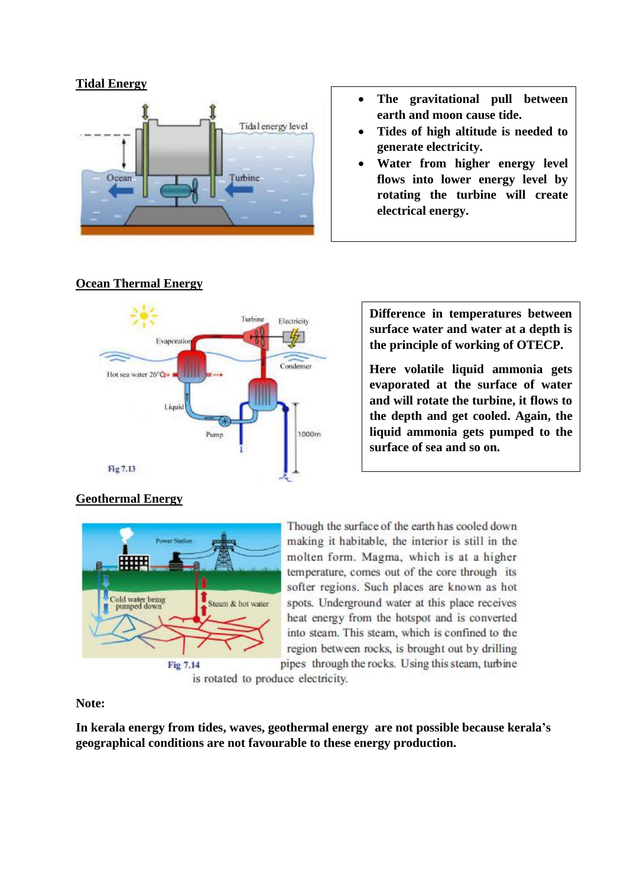## **Tidal Energy**



- **The gravitational pull between earth and moon cause tide.**
- **Tides of high altitude is needed to generate electricity.**
- **Water from higher energy level flows into lower energy level by rotating the turbine will create electrical energy.**



# **Ocean Thermal Energy**

**Difference in temperatures between surface water and water at a depth is the principle of working of OTECP.**

**Here volatile liquid ammonia gets evaporated at the surface of water and will rotate the turbine, it flows to the depth and get cooled. Again, the liquid ammonia gets pumped to the surface of sea and so on.** 

# **Geothermal Energy**



Though the surface of the earth has cooled down making it habitable, the interior is still in the molten form. Magma, which is at a higher temperature, comes out of the core through its softer regions. Such places are known as hot spots. Underground water at this place receives heat energy from the hotspot and is converted into steam. This steam, which is confined to the region between rocks, is brought out by drilling pipes through the rocks. Using this steam, turbine

is rotated to produce electricity.

## **Note:**

**In kerala energy from tides, waves, geothermal energy are not possible because kerala's geographical conditions are not favourable to these energy production.**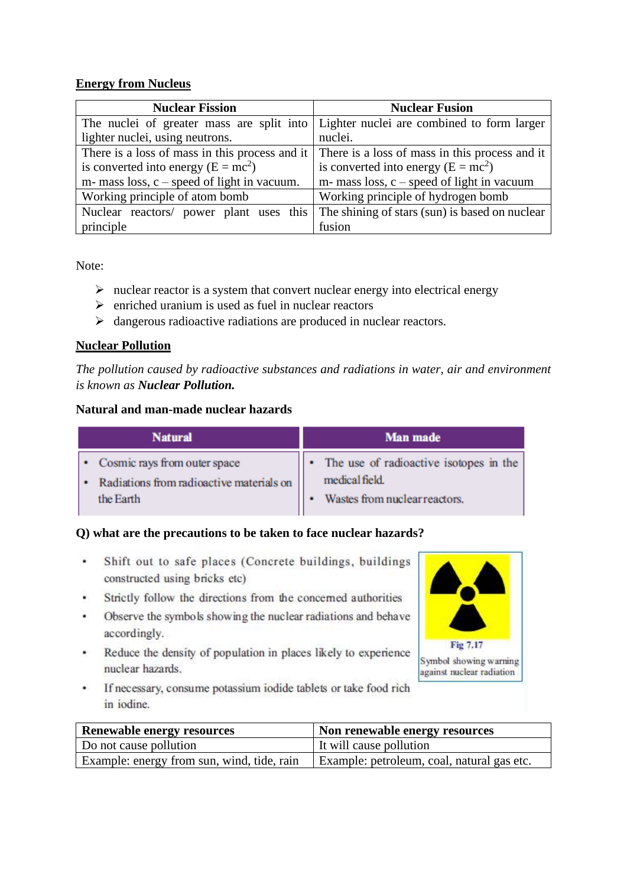#### **Energy from Nucleus**

| <b>Nuclear Fission</b>                           | <b>Nuclear Fusion</b>                          |
|--------------------------------------------------|------------------------------------------------|
| The nuclei of greater mass are split into        | Lighter nuclei are combined to form larger     |
| lighter nuclei, using neutrons.                  | nuclei.                                        |
| There is a loss of mass in this process and it   | There is a loss of mass in this process and it |
| is converted into energy $(E = mc^2)$            | is converted into energy $(E = mc^2)$          |
| $m$ - mass loss, $c$ – speed of light in vacuum. | $m$ - mass loss, c – speed of light in vacuum  |
| Working principle of atom bomb                   | Working principle of hydrogen bomb             |
| Nuclear reactors/ power plant uses this          | The shining of stars (sun) is based on nuclear |
| principle                                        | fusion                                         |

Note:

- $\triangleright$  nuclear reactor is a system that convert nuclear energy into electrical energy
- $\triangleright$  enriched uranium is used as fuel in nuclear reactors
- ➢ dangerous radioactive radiations are produced in nuclear reactors.

#### **Nuclear Pollution**

*The pollution caused by radioactive substances and radiations in water, air and environment is known as Nuclear Pollution.*

#### **Natural and man-made nuclear hazards**

| <b>Natural</b>                           | <b>Man made</b>                        |
|------------------------------------------|----------------------------------------|
| Cosmic rays from outer space             | The use of radioactive isotopes in the |
| Radiations from radioactive materials on | medical field.                         |
| the Earth                                | Wastes from nuclear reactors.          |

#### **Q) what are the precautions to be taken to face nuclear hazards?**

- ¥ Shift out to safe places (Concrete buildings, buildings constructed using bricks etc)
- Strictly follow the directions from the concerned authorities
- Observe the symbols showing the nuclear radiations and behave  $\cdot$ accordingly.
- Reduce the density of population in places likely to experience  $\mathcal{M}^{\mathcal{M}}$ nuclear hazards.
- If necessary, consume potassium iodide tablets or take food rich  $\mathcal{L}_{\mathcal{L}}$ in jodine.

| <b>Renewable energy resources</b>          | Non renewable energy resources             |
|--------------------------------------------|--------------------------------------------|
| Do not cause pollution                     | It will cause pollution                    |
| Example: energy from sun, wind, tide, rain | Example: petroleum, coal, natural gas etc. |